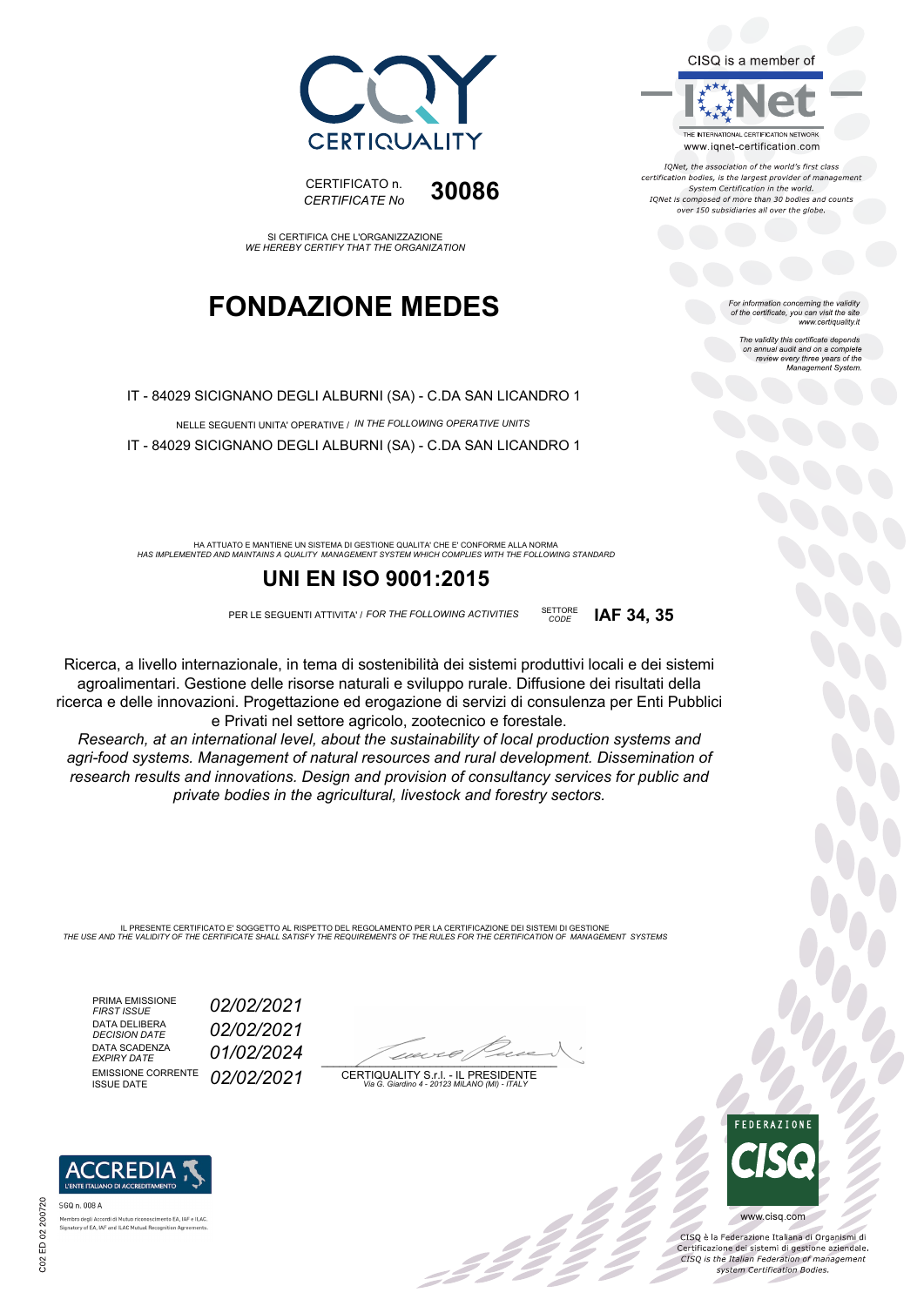CISQ is a member of



IONet, the association of the world's first class certification bodies, is the largest provider of management System Certification in the world. IQNet is composed of more than 30 bodies and counts over 150 subsidiaries all over the globe.

*CODE* **IAF 34, 35**

For information concerning the validity<br>of the certificate, you can visit the site<br>www.certiquality.it

The validity this certificate depends on annual audit and on a complete review every three years of the Management System.



CERTIFICATO n. *CERTIFICATE No* **30086**

SI CERTIFICA CHE L'ORGANIZZAZIONE *WE HEREBY CERTIFY THAT THE ORGANIZATION*

## **FONDAZIONE MEDES**

IT - 84029 SICIGNANO DEGLI ALBURNI (SA) - C.DA SAN LICANDRO 1

NELLE SEGUENTI UNITA' OPERATIVE / *IN THE FOLLOWING OPERATIVE UNITS* IT - 84029 SICIGNANO DEGLI ALBURNI (SA) - C.DA SAN LICANDRO 1

*HAS IMPLEMENTED AND MAINTAINS A QUALITY MANAGEMENT SYSTEM WHICH COMPLIES WITH THE FOLLOWING STANDARD* HA ATTUATO E MANTIENE UN SISTEMA DI GESTIONE QUALITA' CHE E' CONFORME ALLA NORMA

### **UNI EN ISO 9001:2015**

PER LE SEGUENTI ATTIVITA' / *FOR THE FOLLOWING ACTIVITIES* SETTORE

Ricerca, a livello internazionale, in tema di sostenibilità dei sistemi produttivi locali e dei sistemi agroalimentari. Gestione delle risorse naturali e sviluppo rurale. Diffusione dei risultati della ricerca e delle innovazioni. Progettazione ed erogazione di servizi di consulenza per Enti Pubblici e Privati nel settore agricolo, zootecnico e forestale.

*Research, at an international level, about the sustainability of local production systems and agri-food systems. Management of natural resources and rural development. Dissemination of research results and innovations. Design and provision of consultancy services for public and private bodies in the agricultural, livestock and forestry sectors.*

IL PRESENTE CERTIFICATO E' SOGGETTO AL RISPETTO DEL REGOLAMENTO PER LA CERTIFICAZIONE DEI SISTEMI DI GESTIONE<br>THE USE AND THE VALIDITY OF THE CERTIFICATE SHALL SATISFY THE REQUIREMENTS OF THE RULES FOR THE CERTIFICATION OF

PRIMA EMISSIONE *FIRST ISSUE 02/02/2021* DATA DELIBERA<br>DECISION DATE DATA SCADENZA<br>EXPIRY DATE EMISSIONE CORRENTE<br>ISSUE DATE

*DECISION DATE 02/02/2021 EXPIRY DATE 01/02/2024* ISSUE DATE *02/02/2021*

 $\overline{\phantom{a}}$ 

:42 p

CERTIQUALITY S.r.l. - IL PRESIDENTE *Via G. Giardino 4 - 20123 MILANO (MI) - ITALY*



 $\frac{1}{2}$ 

CISQ è la Federazione Italiana di Organismi di Certificazione dei sistemi di gestione aziendale.<br>CESQ is the Italian Federation of management system Certification Bodies



o deginated at an indice ricomosemmer<br>pry of EA, IAF and ILAC Mutual Recogn